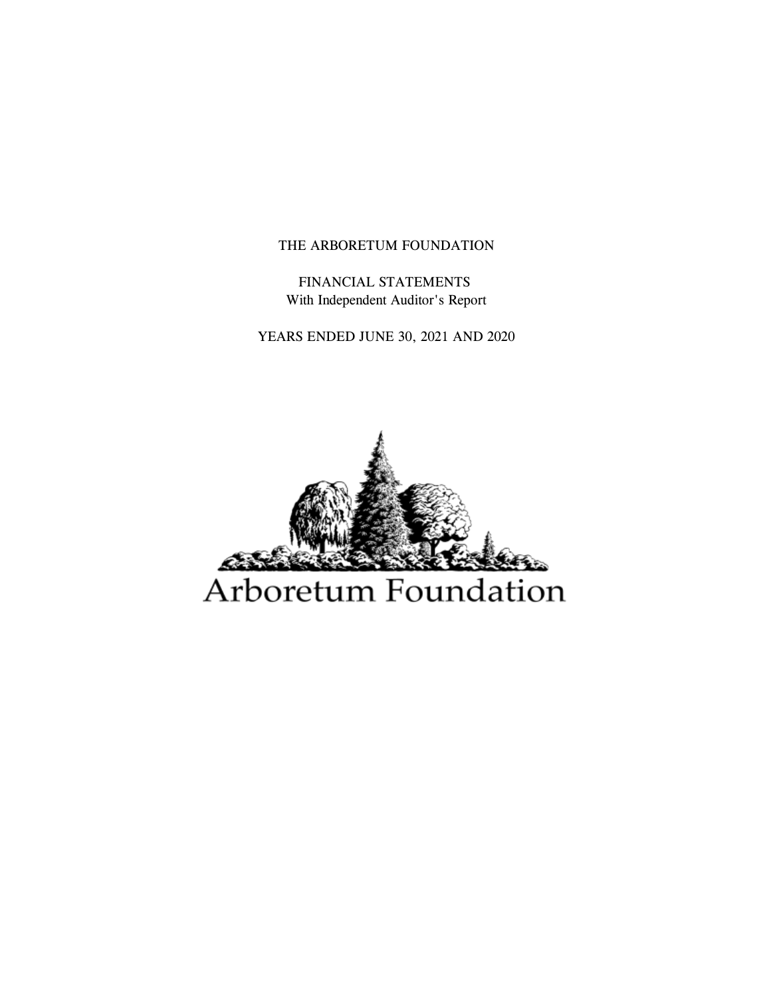FINANCIAL STATEMENTS With Independent Auditor's Report

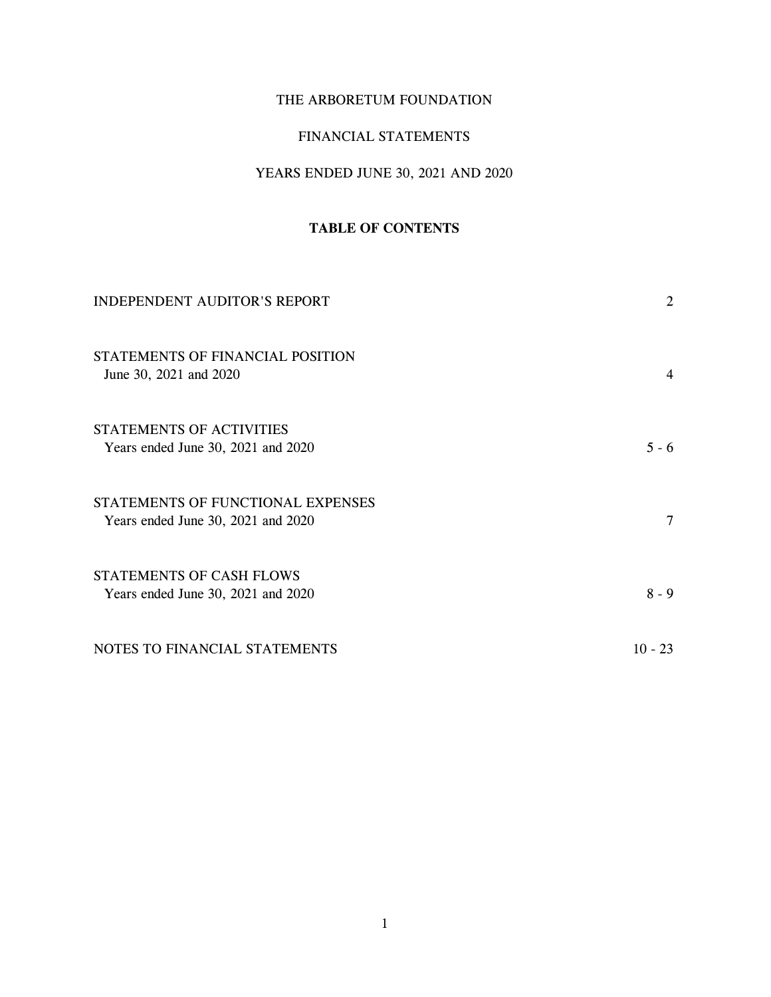# FINANCIAL STATEMENTS

# YEARS ENDED JUNE 30, 2021 AND 2020

# **TABLE OF CONTENTS**

| <b>INDEPENDENT AUDITOR'S REPORT</b>                                     | 2         |
|-------------------------------------------------------------------------|-----------|
| STATEMENTS OF FINANCIAL POSITION<br>June 30, 2021 and 2020              | 4         |
| STATEMENTS OF ACTIVITIES<br>Years ended June 30, 2021 and 2020          | $5 - 6$   |
| STATEMENTS OF FUNCTIONAL EXPENSES<br>Years ended June 30, 2021 and 2020 | 7         |
| <b>STATEMENTS OF CASH FLOWS</b><br>Years ended June 30, 2021 and 2020   | $8 - 9$   |
| NOTES TO FINANCIAL STATEMENTS                                           | $10 - 23$ |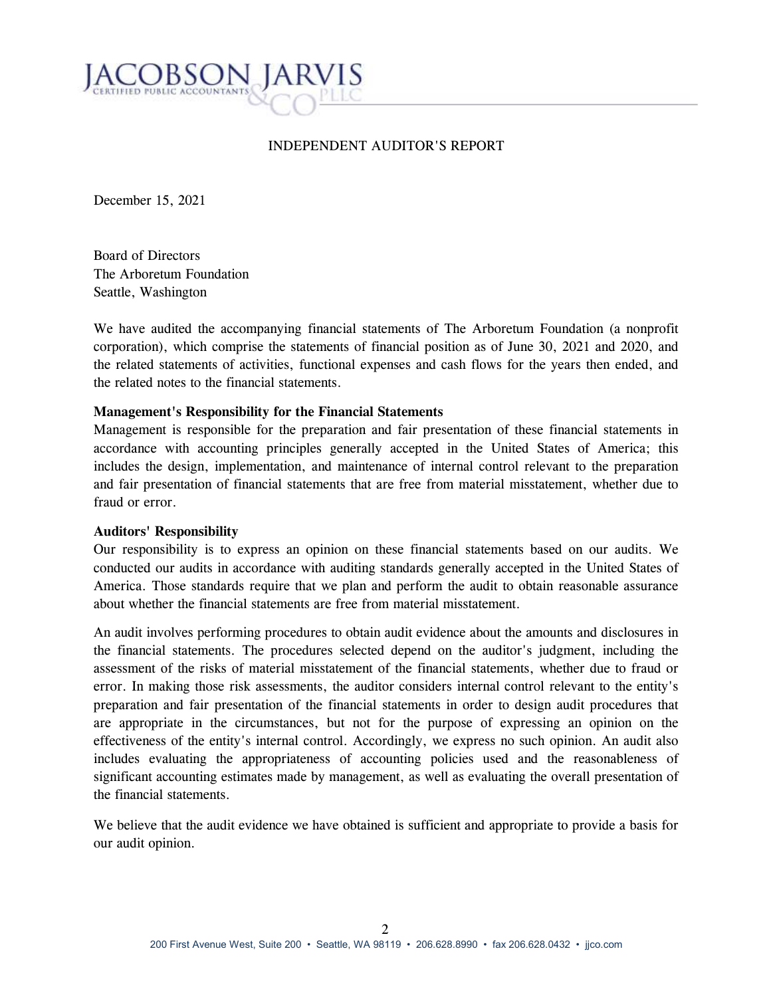

# INDEPENDENT AUDITOR'S REPORT

December 15, 2021

Board of Directors The Arboretum Foundation Seattle, Washington

We have audited the accompanying financial statements of The Arboretum Foundation (a nonprofit corporation), which comprise the statements of financial position as of June 30, 2021 and 2020, and the related statements of activities, functional expenses and cash flows for the years then ended, and the related notes to the financial statements.

# **Management's Responsibility for the Financial Statements**

Management is responsible for the preparation and fair presentation of these financial statements in accordance with accounting principles generally accepted in the United States of America; this includes the design, implementation, and maintenance of internal control relevant to the preparation and fair presentation of financial statements that are free from material misstatement, whether due to fraud or error.

### **Auditors' Responsibility**

Our responsibility is to express an opinion on these financial statements based on our audits. We conducted our audits in accordance with auditing standards generally accepted in the United States of America. Those standards require that we plan and perform the audit to obtain reasonable assurance about whether the financial statements are free from material misstatement.

An audit involves performing procedures to obtain audit evidence about the amounts and disclosures in the financial statements. The procedures selected depend on the auditor's judgment, including the assessment of the risks of material misstatement of the financial statements, whether due to fraud or error. In making those risk assessments, the auditor considers internal control relevant to the entity's preparation and fair presentation of the financial statements in order to design audit procedures that are appropriate in the circumstances, but not for the purpose of expressing an opinion on the effectiveness of the entity's internal control. Accordingly, we express no such opinion. An audit also includes evaluating the appropriateness of accounting policies used and the reasonableness of significant accounting estimates made by management, as well as evaluating the overall presentation of the financial statements.

We believe that the audit evidence we have obtained is sufficient and appropriate to provide a basis for our audit opinion.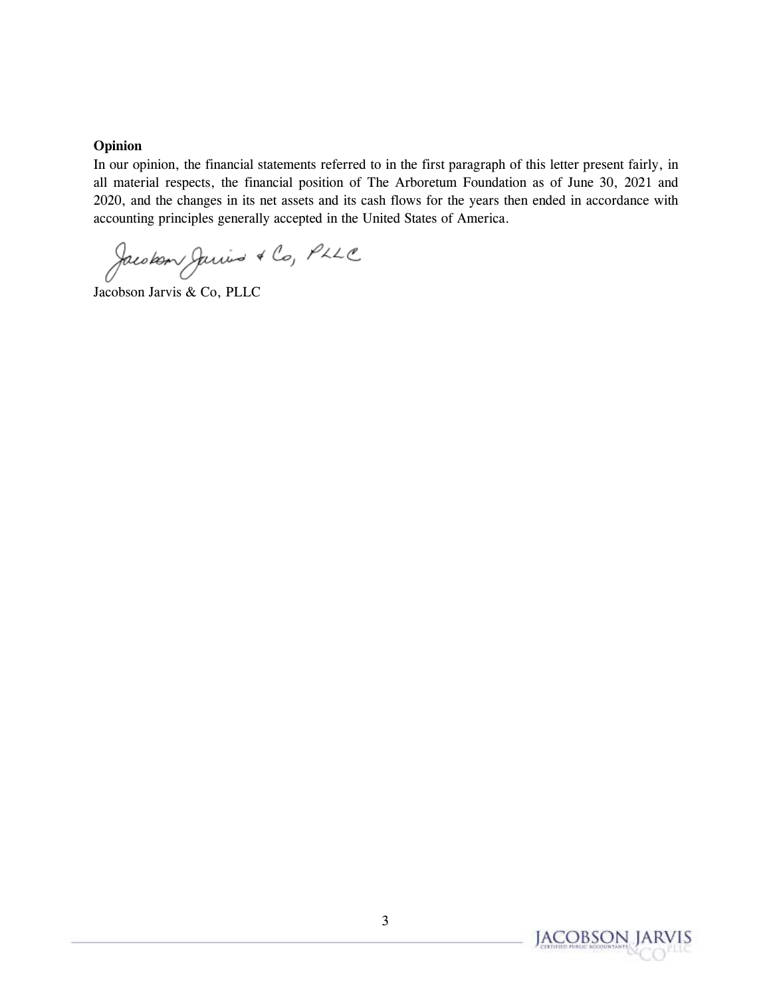# **Opinion**

In our opinion, the financial statements referred to in the first paragraph of this letter present fairly, in all material respects, the financial position of The Arboretum Foundation as of June 30, 2021 and 2020, and the changes in its net assets and its cash flows for the years then ended in accordance with accounting principles generally accepted in the United States of America.

Jacobson Jarries & Co, PLLC

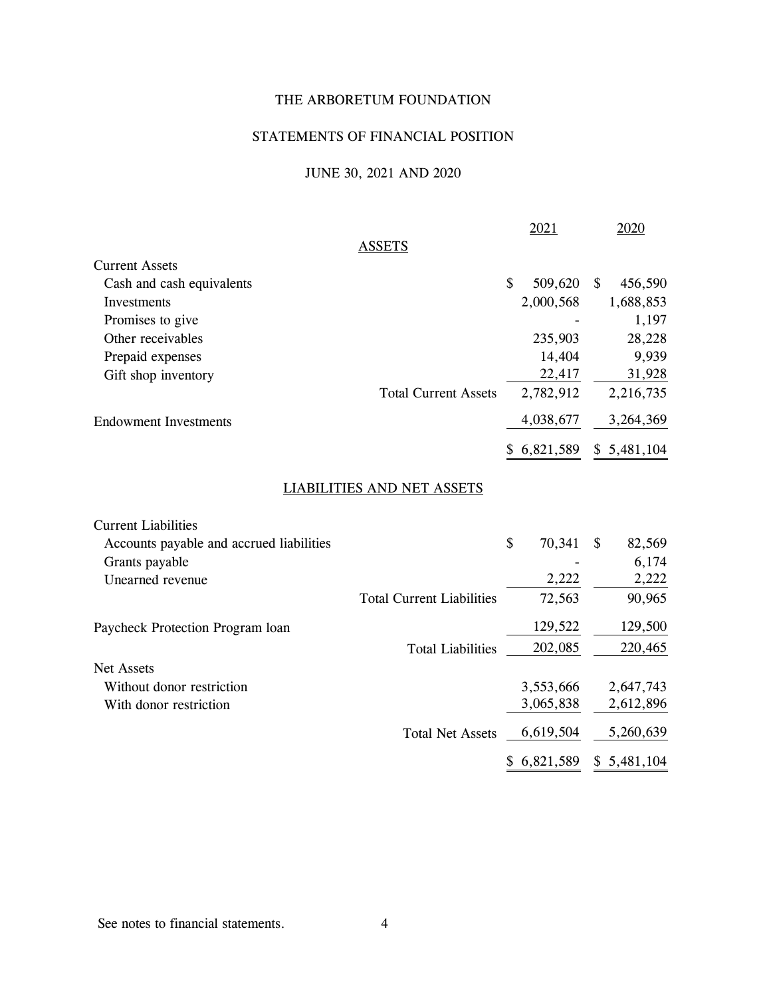## STATEMENTS OF FINANCIAL POSITION

# JUNE 30, 2021 AND 2020

|                                          |                                   | 2021          |     | 2020        |
|------------------------------------------|-----------------------------------|---------------|-----|-------------|
|                                          | <b>ASSETS</b>                     |               |     |             |
| <b>Current Assets</b>                    |                                   |               |     |             |
| Cash and cash equivalents                |                                   | \$<br>509,620 | \$  | 456,590     |
| Investments                              |                                   | 2,000,568     |     | 1,688,853   |
| Promises to give                         |                                   |               |     | 1,197       |
| Other receivables                        |                                   | 235,903       |     | 28,228      |
| Prepaid expenses                         |                                   | 14,404        |     | 9,939       |
| Gift shop inventory                      |                                   | 22,417        |     | 31,928      |
|                                          | <b>Total Current Assets</b>       | 2,782,912     |     | 2,216,735   |
| <b>Endowment Investments</b>             |                                   | 4,038,677     |     | 3,264,369   |
|                                          |                                   | \$ 6,821,589  |     | \$5,481,104 |
|                                          | <b>LIABILITIES AND NET ASSETS</b> |               |     |             |
| <b>Current Liabilities</b>               |                                   |               |     |             |
| Accounts payable and accrued liabilities |                                   | \$<br>70,341  | \$. | 82,569      |
| Grants payable                           |                                   |               |     | 6,174       |
| Unearned revenue                         |                                   | 2,222         |     | 2,222       |
|                                          | <b>Total Current Liabilities</b>  | 72,563        |     | 90,965      |
| Paycheck Protection Program loan         |                                   | 129,522       |     | 129,500     |
|                                          | <b>Total Liabilities</b>          | 202,085       |     | 220,465     |
| <b>Net Assets</b>                        |                                   |               |     |             |

| With donor restriction |  |  |
|------------------------|--|--|
|                        |  |  |
|                        |  |  |

Without donor restriction 3,553,666 2,647,743<br>With donor restriction 3,065,838 2,612,896  $3,065,838$ Total Net Assets 6,619,504 5,260,639 \$ 6,821,589 \$ 5,481,104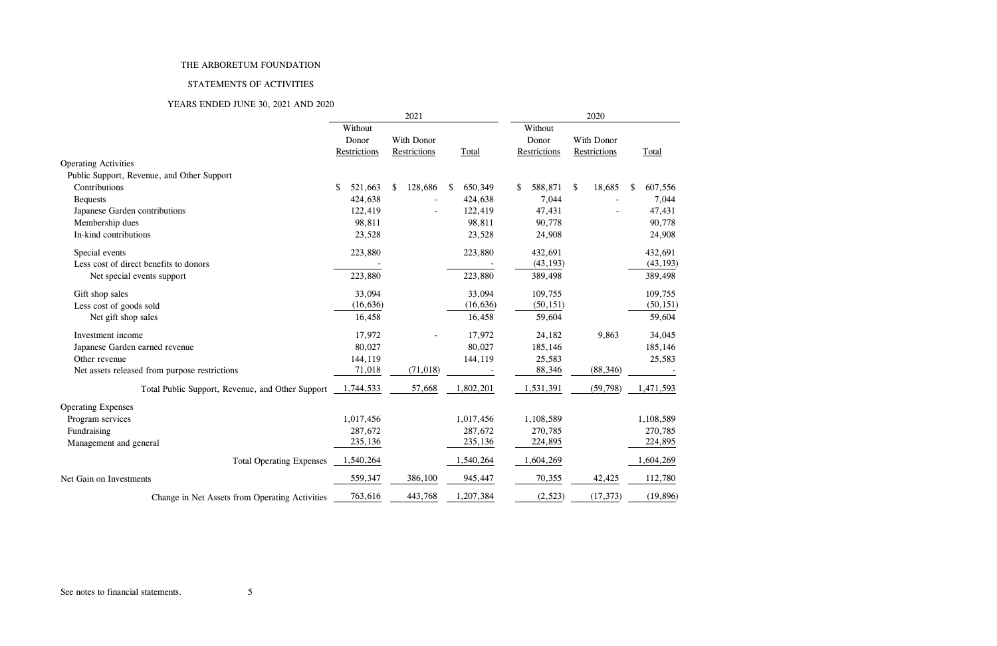|                                                  | 2021          |              |            |    |           | 2020         |           |              |            |       |           |
|--------------------------------------------------|---------------|--------------|------------|----|-----------|--------------|-----------|--------------|------------|-------|-----------|
|                                                  | Without       |              |            |    |           |              | Without   |              |            |       |           |
|                                                  | Donor         |              | With Donor |    |           |              | Donor     |              | With Donor |       |           |
|                                                  | Restrictions  | Restrictions |            |    | Total     | Restrictions |           | Restrictions |            | Total |           |
| <b>Operating Activities</b>                      |               |              |            |    |           |              |           |              |            |       |           |
| Public Support, Revenue, and Other Support       |               |              |            |    |           |              |           |              |            |       |           |
| Contributions                                    | \$<br>521,663 | \$           | 128,686    | \$ | 650,349   | \$           | 588,871   | \$           | 18,685     | \$    | 607,556   |
| <b>Bequests</b>                                  | 424,638       |              |            |    | 424,638   |              | 7,044     |              |            |       | 7,044     |
| Japanese Garden contributions                    | 122,419       |              |            |    | 122,419   |              | 47,431    |              |            |       | 47,431    |
| Membership dues                                  | 98,811        |              |            |    | 98,811    |              | 90,778    |              |            |       | 90,778    |
| In-kind contributions                            | 23,528        |              |            |    | 23,528    |              | 24,908    |              |            |       | 24,908    |
| Special events                                   | 223,880       |              |            |    | 223,880   |              | 432,691   |              |            |       | 432,691   |
| Less cost of direct benefits to donors           |               |              |            |    |           |              | (43, 193) |              |            |       | (43, 193) |
| Net special events support                       | 223,880       |              |            |    | 223,880   |              | 389,498   |              |            |       | 389,498   |
| Gift shop sales                                  | 33,094        |              |            |    | 33,094    |              | 109,755   |              |            |       | 109,755   |
| Less cost of goods sold                          | (16, 636)     |              |            |    | (16, 636) |              | (50, 151) |              |            |       | (50, 151) |
| Net gift shop sales                              | 16,458        |              |            |    | 16,458    |              | 59,604    |              |            |       | 59,604    |
| Investment income                                | 17,972        |              |            |    | 17,972    |              | 24,182    |              | 9,863      |       | 34,045    |
| Japanese Garden earned revenue                   | 80,027        |              |            |    | 80,027    |              | 185,146   |              |            |       | 185,146   |
| Other revenue                                    | 144,119       |              |            |    | 144,119   |              | 25,583    |              |            |       | 25,583    |
| Net assets released from purpose restrictions    | 71,018        |              | (71, 018)  |    |           |              | 88,346    |              | (88, 346)  |       |           |
| Total Public Support, Revenue, and Other Support | 1,744,533     |              | 57,668     |    | 1,802,201 |              | 1,531,391 |              | (59,798)   |       | 1,471,593 |
| <b>Operating Expenses</b>                        |               |              |            |    |           |              |           |              |            |       |           |
| Program services                                 | 1,017,456     |              |            |    | 1,017,456 |              | 1,108,589 |              |            |       | 1,108,589 |
| Fundraising                                      | 287,672       |              |            |    | 287,672   |              | 270,785   |              |            |       | 270,785   |
| Management and general                           | 235,136       |              |            |    | 235,136   |              | 224,895   |              |            |       | 224,895   |
| <b>Total Operating Expenses</b>                  | 1,540,264     |              |            |    | 1,540,264 |              | 1,604,269 |              |            |       | 1,604,269 |
| Net Gain on Investments                          | 559,347       |              | 386,100    |    | 945,447   |              | 70,355    |              | 42,425     |       | 112,780   |
| Change in Net Assets from Operating Activities   | 763,616       |              | 443,768    |    | 1,207,384 |              | (2, 523)  |              | (17, 373)  |       | (19, 896) |

# STATEMENTS OF ACTIVITIES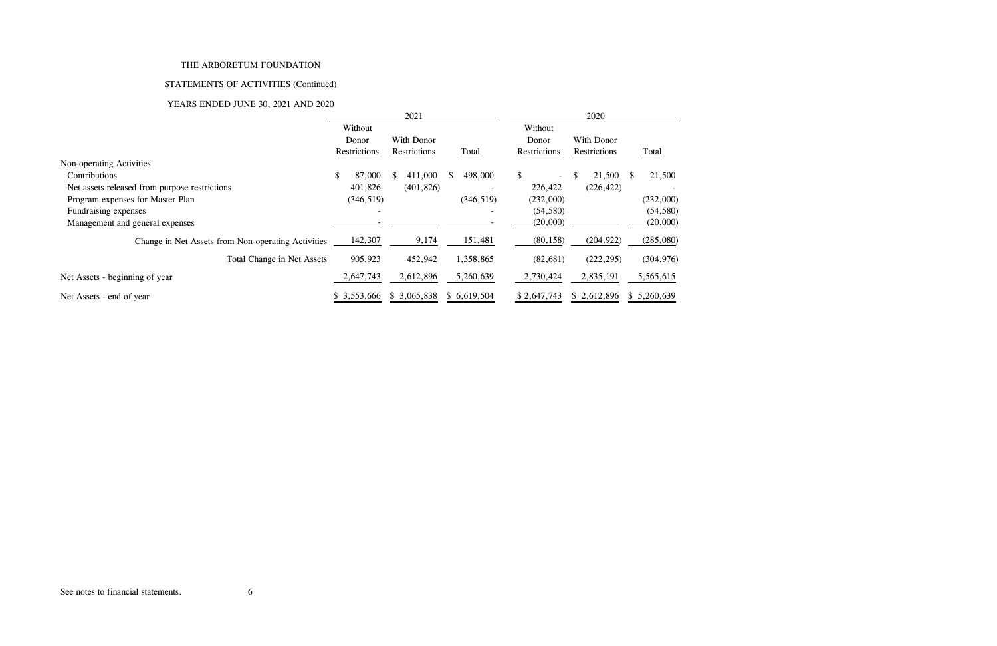|                                                    | 2021  |                     |                       |             | 2020 |              |    |             |                            |             |          |             |
|----------------------------------------------------|-------|---------------------|-----------------------|-------------|------|--------------|----|-------------|----------------------------|-------------|----------|-------------|
|                                                    |       | Without             |                       |             |      |              |    | Without     |                            |             |          |             |
|                                                    | Donor |                     | With Donor            |             |      |              |    | Donor       | With Donor<br>Restrictions |             |          |             |
|                                                    |       | <b>Restrictions</b> | Restrictions<br>Total |             |      | Restrictions |    | Total       |                            |             |          |             |
| Non-operating Activities                           |       |                     |                       |             |      |              |    |             |                            |             |          |             |
| Contributions                                      | \$    | 87,000              | S.                    | 411,000     | S    | 498,000      | \$ | -           |                            | 21,500      | <b>S</b> | 21,500      |
| Net assets released from purpose restrictions      |       | 401,826             |                       | (401, 826)  |      |              |    | 226,422     |                            | (226, 422)  |          |             |
| Program expenses for Master Plan                   |       | (346, 519)          |                       |             |      | (346, 519)   |    | (232,000)   |                            |             |          | (232,000)   |
| Fundraising expenses                               |       |                     |                       |             |      |              |    | (54, 580)   |                            |             |          | (54, 580)   |
| Management and general expenses                    |       |                     |                       |             |      |              |    | (20,000)    |                            |             |          | (20,000)    |
| Change in Net Assets from Non-operating Activities |       | 142,307             |                       | 9,174       |      | 151,481      |    | (80, 158)   |                            | (204, 922)  |          | (285,080)   |
| Total Change in Net Assets                         |       | 905,923             |                       | 452,942     |      | 1,358,865    |    | (82, 681)   |                            | (222, 295)  |          | (304, 976)  |
| Net Assets - beginning of year                     |       | 2,647,743           |                       | 2,612,896   |      | 5,260,639    |    | 2,730,424   |                            | 2,835,191   |          | 5,565,615   |
| Net Assets - end of year                           |       | \$3,553,666         |                       | \$3,065,838 |      | \$6,619,504  |    | \$2,647,743 |                            | \$2,612,896 |          | \$5,260,639 |

# STATEMENTS OF ACTIVITIES (Continued)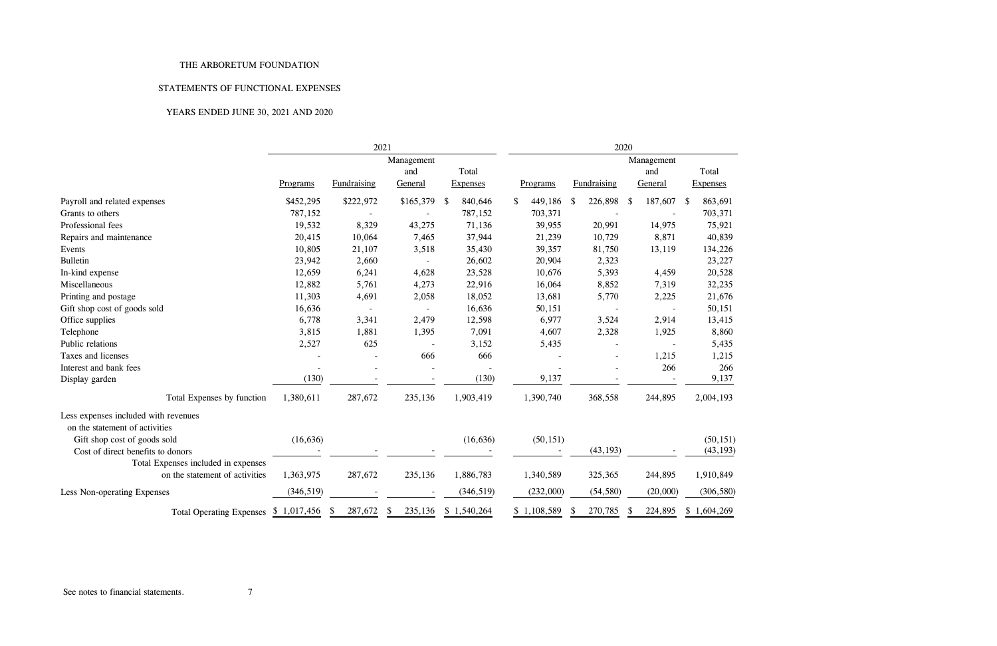|                                                   |            | 2021          |                          |                                      | 2020          |                         |                         |                                      |  |  |
|---------------------------------------------------|------------|---------------|--------------------------|--------------------------------------|---------------|-------------------------|-------------------------|--------------------------------------|--|--|
|                                                   |            |               | Management               |                                      | Management    |                         |                         |                                      |  |  |
|                                                   |            |               | and                      | Total                                |               |                         | and                     | Total                                |  |  |
|                                                   | Programs   | Fundraising   | General                  | <b>Expenses</b>                      | Programs      | Fundraising             | General                 | <b>Expenses</b>                      |  |  |
| Payroll and related expenses                      | \$452,295  | \$222,972     | \$165,379                | $\boldsymbol{\mathsf{S}}$<br>840,646 | 449,186<br>\$ | -\$<br>226,898          | $\mathbb{S}$<br>187,607 | 863,691<br>$\boldsymbol{\mathsf{S}}$ |  |  |
| Grants to others                                  | 787,152    |               |                          | 787,152                              | 703,371       | $\overline{a}$          |                         | 703,371                              |  |  |
| Professional fees                                 | 19,532     | 8,329         | 43,275                   | 71,136                               | 39,955        | 20,991                  | 14,975                  | 75,921                               |  |  |
| Repairs and maintenance                           | 20,415     | 10,064        | 7,465                    | 37,944                               | 21,239        | 10,729                  | 8,871                   | 40,839                               |  |  |
| Events                                            | 10,805     | 21,107        | 3,518                    | 35,430                               | 39,357        | 81,750                  | 13,119                  | 134,226                              |  |  |
| <b>Bulletin</b>                                   | 23,942     | 2,660         |                          | 26,602                               | 20,904        | 2,323                   |                         | 23,227                               |  |  |
| In-kind expense                                   | 12,659     | 6,241         | 4,628                    | 23,528                               | 10,676        | 5,393                   | 4,459                   | 20,528                               |  |  |
| Miscellaneous                                     | 12,882     | 5,761         | 4,273                    | 22,916                               | 16,064        | 8,852                   | 7,319                   | 32,235                               |  |  |
| Printing and postage                              | 11,303     | 4,691         | 2,058                    | 18,052                               | 13,681        | 5,770                   | 2,225                   | 21,676                               |  |  |
| Gift shop cost of goods sold                      | 16,636     |               | $\blacksquare$           | 16,636                               | 50,151        |                         |                         | 50,151                               |  |  |
| Office supplies                                   | 6,778      | 3,341         | 2,479                    | 12,598                               | 6,977         | 3,524                   | 2,914                   | 13,415                               |  |  |
| Telephone                                         | 3,815      | 1,881         | 1,395                    | 7,091                                | 4,607         | 2,328                   | 1,925                   | 8,860                                |  |  |
| Public relations                                  | 2,527      | 625           |                          | 3,152                                | 5,435         |                         |                         | 5,435                                |  |  |
| Taxes and licenses                                |            |               | 666                      | 666                                  |               |                         | 1,215                   | 1,215                                |  |  |
| Interest and bank fees                            |            |               |                          |                                      |               |                         | 266                     | 266                                  |  |  |
| Display garden                                    | (130)      |               |                          | (130)                                | 9,137         |                         |                         | 9,137                                |  |  |
| Total Expenses by function                        | 1,380,611  | 287,672       | 235,136                  | 1,903,419                            | 1,390,740     | 368,558                 | 244,895                 | 2,004,193                            |  |  |
| Less expenses included with revenues              |            |               |                          |                                      |               |                         |                         |                                      |  |  |
| on the statement of activities                    |            |               |                          |                                      |               |                         |                         |                                      |  |  |
| Gift shop cost of goods sold                      | (16, 636)  |               |                          | (16, 636)                            | (50, 151)     |                         |                         | (50, 151)                            |  |  |
| Cost of direct benefits to donors                 |            |               |                          |                                      |               | (43, 193)               |                         | (43, 193)                            |  |  |
| Total Expenses included in expenses               |            |               |                          |                                      |               |                         |                         |                                      |  |  |
| on the statement of activities                    | 1,363,975  | 287,672       | 235,136                  | 1,886,783                            | 1,340,589     | 325,365                 | 244,895                 | 1,910,849                            |  |  |
| <b>Less Non-operating Expenses</b>                | (346, 519) |               |                          | (346, 519)                           | (232,000)     | (54, 580)               | (20,000)                | (306, 580)                           |  |  |
| Total Operating Expenses $\frac{\$}{2}$ 1,017,456 |            | 287,672<br>\$ | 235,136<br>$\mathcal{S}$ | \$1,540,264                          | \$1,108,589   | 270,785<br><sup>8</sup> | 224,895<br><sup>S</sup> | \$1,604,269                          |  |  |

# STATEMENTS OF FUNCTIONAL EXPENSES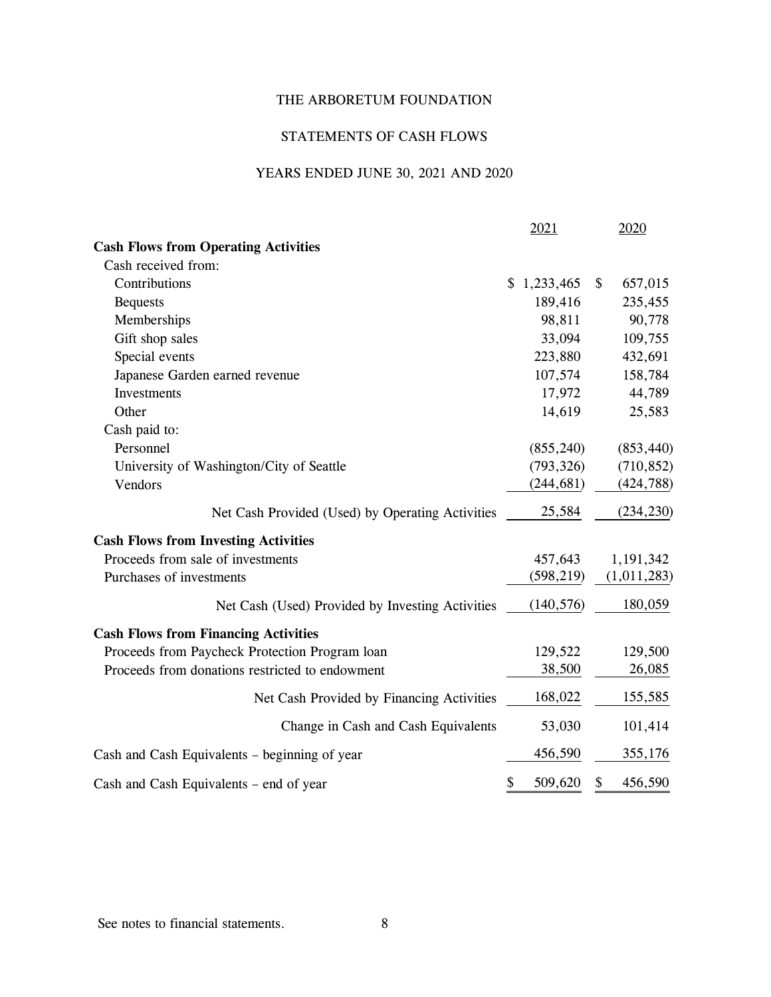# STATEMENTS OF CASH FLOWS

|                                                  | 2021            | 2020          |
|--------------------------------------------------|-----------------|---------------|
| <b>Cash Flows from Operating Activities</b>      |                 |               |
| Cash received from:                              |                 |               |
| Contributions                                    | \$<br>1,233,465 | \$<br>657,015 |
| <b>Bequests</b>                                  | 189,416         | 235,455       |
| Memberships                                      | 98,811          | 90,778        |
| Gift shop sales                                  | 33,094          | 109,755       |
| Special events                                   | 223,880         | 432,691       |
| Japanese Garden earned revenue                   | 107,574         | 158,784       |
| Investments                                      | 17,972          | 44,789        |
| Other                                            | 14,619          | 25,583        |
| Cash paid to:                                    |                 |               |
| Personnel                                        | (855, 240)      | (853, 440)    |
| University of Washington/City of Seattle         | (793, 326)      | (710, 852)    |
| Vendors                                          | (244, 681)      | (424, 788)    |
| Net Cash Provided (Used) by Operating Activities | 25,584          | (234, 230)    |
| <b>Cash Flows from Investing Activities</b>      |                 |               |
| Proceeds from sale of investments                | 457,643         | 1,191,342     |
| Purchases of investments                         | (598, 219)      | (1,011,283)   |
| Net Cash (Used) Provided by Investing Activities | (140, 576)      | 180,059       |
| <b>Cash Flows from Financing Activities</b>      |                 |               |
| Proceeds from Paycheck Protection Program loan   | 129,522         | 129,500       |
| Proceeds from donations restricted to endowment  | 38,500          | 26,085        |
| Net Cash Provided by Financing Activities        | 168,022         | 155,585       |
| Change in Cash and Cash Equivalents              | 53,030          | 101,414       |
| Cash and Cash Equivalents – beginning of year    | 456,590         | 355,176       |
| Cash and Cash Equivalents - end of year          | \$<br>509,620   | 456,590       |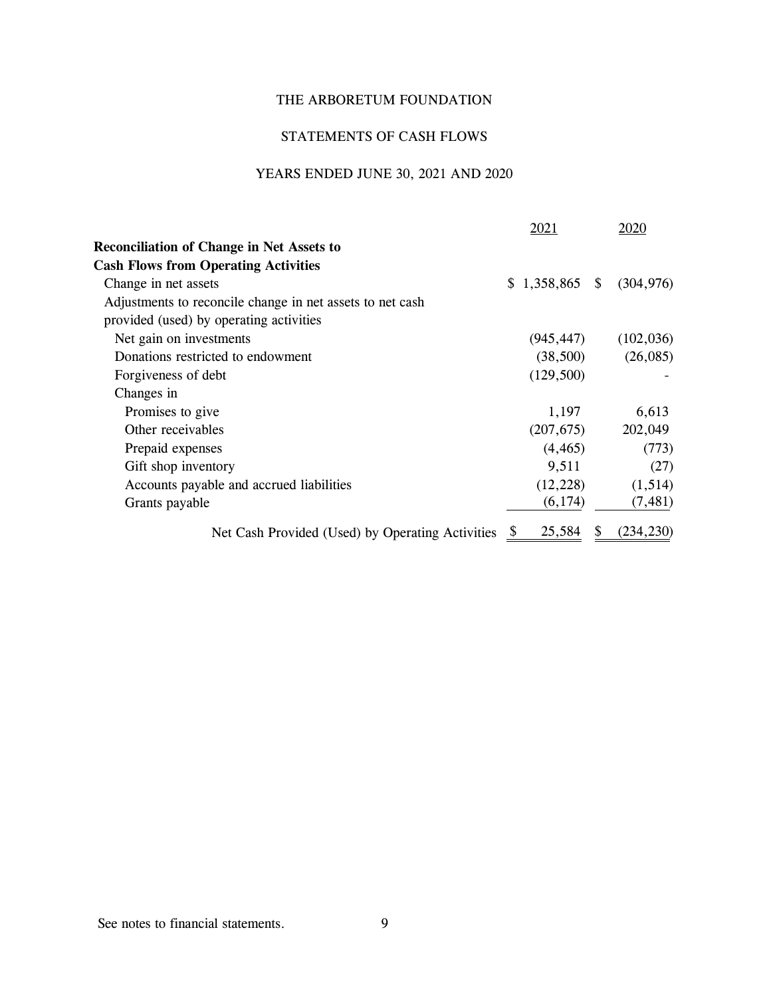# STATEMENTS OF CASH FLOWS

|                                                           | 2021        |               | 2020       |
|-----------------------------------------------------------|-------------|---------------|------------|
| <b>Reconciliation of Change in Net Assets to</b>          |             |               |            |
| <b>Cash Flows from Operating Activities</b>               |             |               |            |
| Change in net assets                                      | \$1,358,865 | <sup>\$</sup> | (304, 976) |
| Adjustments to reconcile change in net assets to net cash |             |               |            |
| provided (used) by operating activities                   |             |               |            |
| Net gain on investments                                   | (945, 447)  |               | (102, 036) |
| Donations restricted to endowment                         | (38,500)    |               | (26,085)   |
| Forgiveness of debt                                       | (129,500)   |               |            |
| Changes in                                                |             |               |            |
| Promises to give                                          | 1,197       |               | 6,613      |
| Other receivables                                         | (207, 675)  |               | 202,049    |
| Prepaid expenses                                          | (4, 465)    |               | (773)      |
| Gift shop inventory                                       | 9,511       |               | (27)       |
| Accounts payable and accrued liabilities                  | (12, 228)   |               | (1,514)    |
| Grants payable                                            | (6,174)     |               | (7, 481)   |
| Net Cash Provided (Used) by Operating Activities          | 25,584      |               | (234,230)  |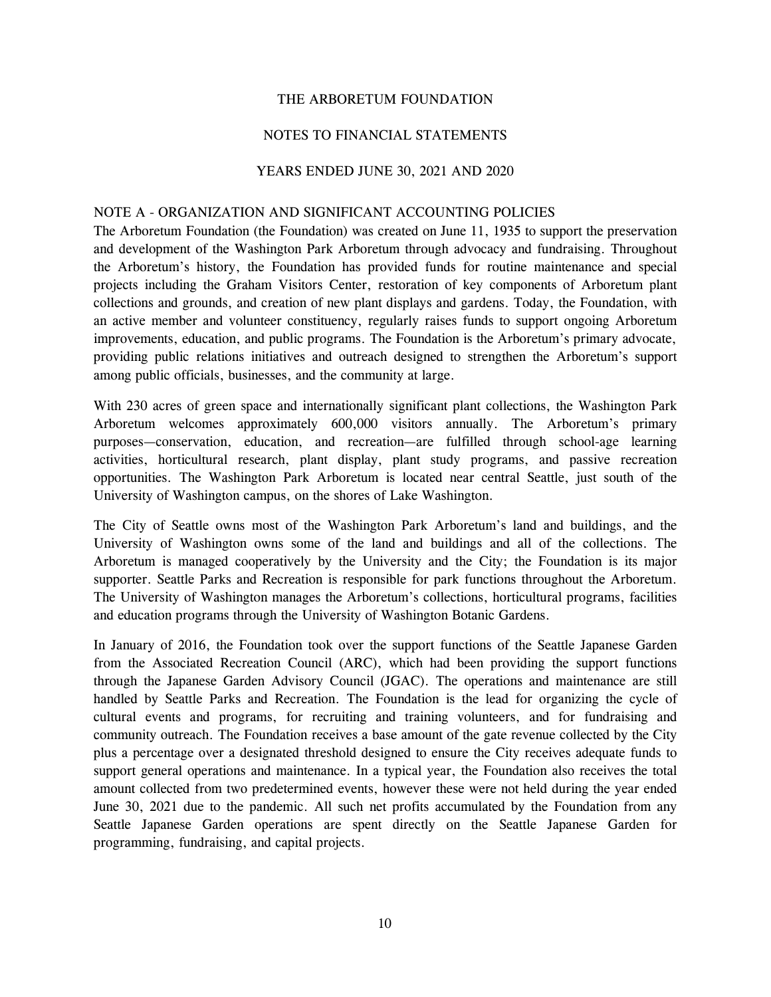# NOTES TO FINANCIAL STATEMENTS

### YEARS ENDED JUNE 30, 2021 AND 2020

#### NOTE A - ORGANIZATION AND SIGNIFICANT ACCOUNTING POLICIES

The Arboretum Foundation (the Foundation) was created on June 11, 1935 to support the preservation and development of the Washington Park Arboretum through advocacy and fundraising. Throughout the Arboretum's history, the Foundation has provided funds for routine maintenance and special projects including the Graham Visitors Center, restoration of key components of Arboretum plant collections and grounds, and creation of new plant displays and gardens. Today, the Foundation, with an active member and volunteer constituency, regularly raises funds to support ongoing Arboretum improvements, education, and public programs. The Foundation is the Arboretum's primary advocate, providing public relations initiatives and outreach designed to strengthen the Arboretum's support among public officials, businesses, and the community at large.

With 230 acres of green space and internationally significant plant collections, the Washington Park Arboretum welcomes approximately 600,000 visitors annually. The Arboretum's primary purposes—conservation, education, and recreation—are fulfilled through school-age learning activities, horticultural research, plant display, plant study programs, and passive recreation opportunities. The Washington Park Arboretum is located near central Seattle, just south of the University of Washington campus, on the shores of Lake Washington.

The City of Seattle owns most of the Washington Park Arboretum's land and buildings, and the University of Washington owns some of the land and buildings and all of the collections. The Arboretum is managed cooperatively by the University and the City; the Foundation is its major supporter. Seattle Parks and Recreation is responsible for park functions throughout the Arboretum. The University of Washington manages the Arboretum's collections, horticultural programs, facilities and education programs through the University of Washington Botanic Gardens.

In January of 2016, the Foundation took over the support functions of the Seattle Japanese Garden from the Associated Recreation Council (ARC), which had been providing the support functions through the Japanese Garden Advisory Council (JGAC). The operations and maintenance are still handled by Seattle Parks and Recreation. The Foundation is the lead for organizing the cycle of cultural events and programs, for recruiting and training volunteers, and for fundraising and community outreach. The Foundation receives a base amount of the gate revenue collected by the City plus a percentage over a designated threshold designed to ensure the City receives adequate funds to support general operations and maintenance. In a typical year, the Foundation also receives the total amount collected from two predetermined events, however these were not held during the year ended June 30, 2021 due to the pandemic. All such net profits accumulated by the Foundation from any Seattle Japanese Garden operations are spent directly on the Seattle Japanese Garden for programming, fundraising, and capital projects.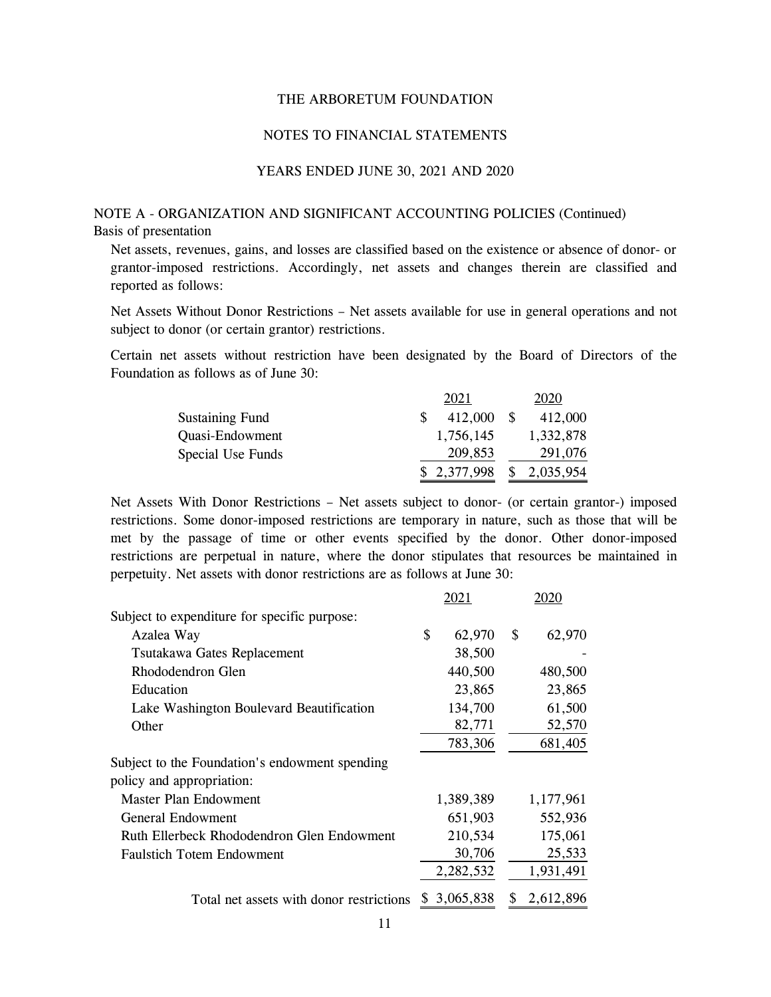# NOTES TO FINANCIAL STATEMENTS

#### YEARS ENDED JUNE 30, 2021 AND 2020

# Basis of presentation NOTE A - ORGANIZATION AND SIGNIFICANT ACCOUNTING POLICIES (Continued)

Net assets, revenues, gains, and losses are classified based on the existence or absence of donor- or grantor-imposed restrictions. Accordingly, net assets and changes therein are classified and reported as follows:

Net Assets Without Donor Restrictions – Net assets available for use in general operations and not subject to donor (or certain grantor) restrictions.

Certain net assets without restriction have been designated by the Board of Directors of the Foundation as follows as of June 30:

|                        | 2021      |      | 2020                      |
|------------------------|-----------|------|---------------------------|
| <b>Sustaining Fund</b> | 412,000   | - \$ | 412,000                   |
| <b>Quasi-Endowment</b> | 1,756,145 |      | 1,332,878                 |
| Special Use Funds      | 209,853   |      | 291,076                   |
|                        |           |      | $$2,377,998$ $$2,035,954$ |

Net Assets With Donor Restrictions – Net assets subject to donor- (or certain grantor-) imposed restrictions. Some donor-imposed restrictions are temporary in nature, such as those that will be met by the passage of time or other events specified by the donor. Other donor-imposed restrictions are perpetual in nature, where the donor stipulates that resources be maintained in perpetuity. Net assets with donor restrictions are as follows at June 30:

|                                                |    | 2021      |   | 2020      |
|------------------------------------------------|----|-----------|---|-----------|
| Subject to expenditure for specific purpose:   |    |           |   |           |
| Azalea Way                                     | \$ | 62,970    | S | 62,970    |
| Tsutakawa Gates Replacement                    |    | 38,500    |   |           |
| Rhododendron Glen                              |    | 440,500   |   | 480,500   |
| Education                                      |    | 23,865    |   | 23,865    |
| Lake Washington Boulevard Beautification       |    | 134,700   |   | 61,500    |
| Other                                          |    | 82,771    |   | 52,570    |
|                                                |    | 783,306   |   | 681,405   |
| Subject to the Foundation's endowment spending |    |           |   |           |
| policy and appropriation:                      |    |           |   |           |
| Master Plan Endowment                          |    | 1,389,389 |   | 1,177,961 |
| General Endowment                              |    | 651,903   |   | 552,936   |
| Ruth Ellerbeck Rhododendron Glen Endowment     |    | 210,534   |   | 175,061   |
| <b>Faulstich Totem Endowment</b>               |    | 30,706    |   | 25,533    |
|                                                |    | 2,282,532 |   | 1,931,491 |
| Total net assets with donor restrictions       | P  | 3,065,838 | S | 2,612,896 |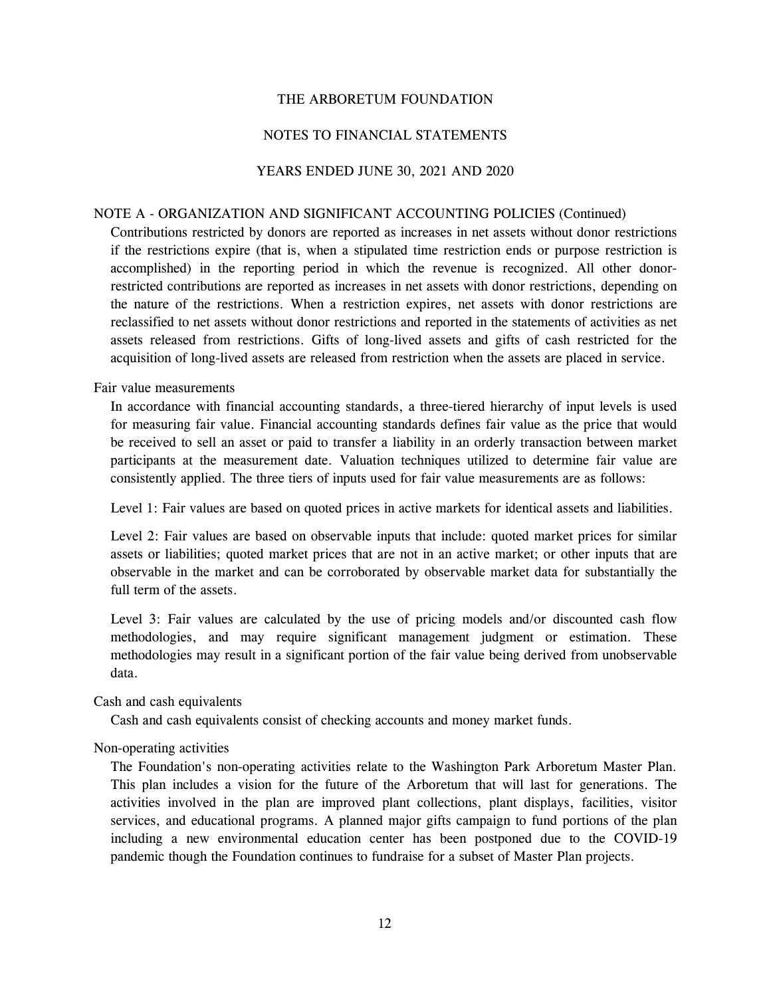### NOTES TO FINANCIAL STATEMENTS

#### YEARS ENDED JUNE 30, 2021 AND 2020

#### NOTE A - ORGANIZATION AND SIGNIFICANT ACCOUNTING POLICIES (Continued)

Contributions restricted by donors are reported as increases in net assets without donor restrictions if the restrictions expire (that is, when a stipulated time restriction ends or purpose restriction is accomplished) in the reporting period in which the revenue is recognized. All other donorrestricted contributions are reported as increases in net assets with donor restrictions, depending on the nature of the restrictions. When a restriction expires, net assets with donor restrictions are reclassified to net assets without donor restrictions and reported in the statements of activities as net assets released from restrictions. Gifts of long-lived assets and gifts of cash restricted for the acquisition of long-lived assets are released from restriction when the assets are placed in service.

#### Fair value measurements

In accordance with financial accounting standards, a three-tiered hierarchy of input levels is used for measuring fair value. Financial accounting standards defines fair value as the price that would be received to sell an asset or paid to transfer a liability in an orderly transaction between market participants at the measurement date. Valuation techniques utilized to determine fair value are consistently applied. The three tiers of inputs used for fair value measurements are as follows:

Level 1: Fair values are based on quoted prices in active markets for identical assets and liabilities.

Level 2: Fair values are based on observable inputs that include: quoted market prices for similar assets or liabilities; quoted market prices that are not in an active market; or other inputs that are observable in the market and can be corroborated by observable market data for substantially the full term of the assets.

Level 3: Fair values are calculated by the use of pricing models and/or discounted cash flow methodologies, and may require significant management judgment or estimation. These methodologies may result in a significant portion of the fair value being derived from unobservable data.

## Cash and cash equivalents

Cash and cash equivalents consist of checking accounts and money market funds.

#### Non-operating activities

The Foundation's non-operating activities relate to the Washington Park Arboretum Master Plan. This plan includes a vision for the future of the Arboretum that will last for generations. The activities involved in the plan are improved plant collections, plant displays, facilities, visitor services, and educational programs. A planned major gifts campaign to fund portions of the plan including a new environmental education center has been postponed due to the COVID-19 pandemic though the Foundation continues to fundraise for a subset of Master Plan projects.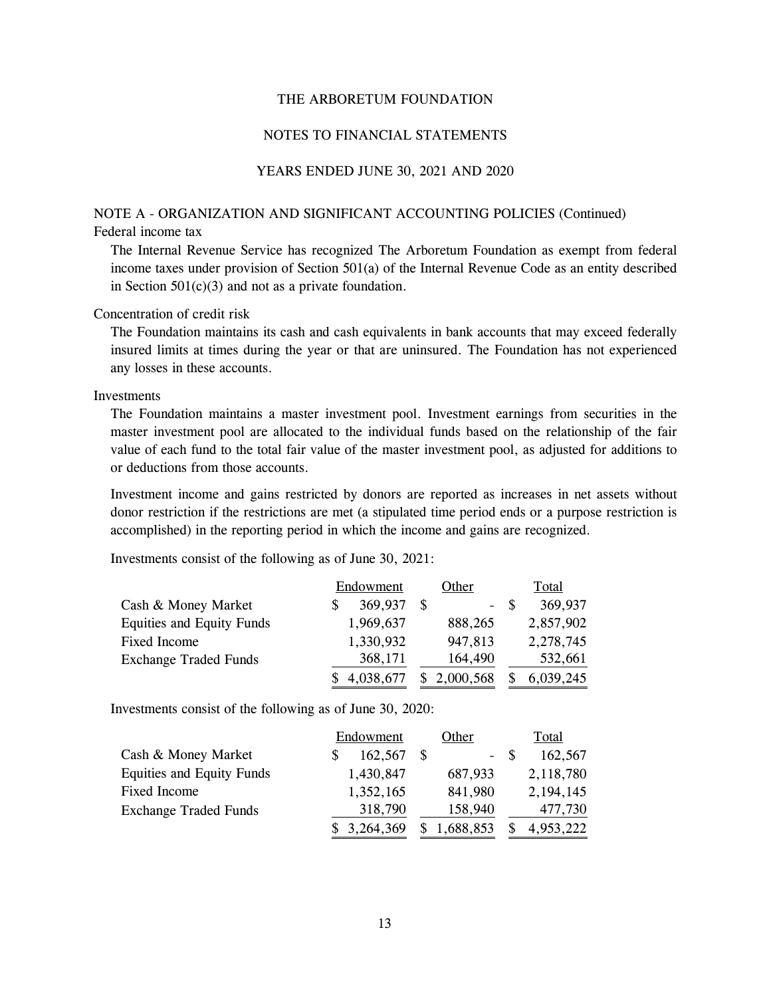### NOTES TO FINANCIAL STATEMENTS

#### YEARS ENDED JUNE 30, 2021 AND 2020

#### NOTE A - ORGANIZATION AND SIGNIFICANT ACCOUNTING POLICIES (Continued)

#### Federal income tax

The Internal Revenue Service has recognized The Arboretum Foundation as exempt from federal income taxes under provision of Section 501(a) of the Internal Revenue Code as an entity described in Section 501(c)(3) and not as a private foundation.

### Concentration of credit risk

The Foundation maintains its cash and cash equivalents in bank accounts that may exceed federally insured limits at times during the year or that are uninsured. The Foundation has not experienced any losses in these accounts.

#### Investments

The Foundation maintains a master investment pool. Investment earnings from securities in the master investment pool are allocated to the individual funds based on the relationship of the fair value of each fund to the total fair value of the master investment pool, as adjusted for additions to or deductions from those accounts.

Investment income and gains restricted by donors are reported as increases in net assets without donor restriction if the restrictions are met (a stipulated time period ends or a purpose restriction is accomplished) in the reporting period in which the income and gains are recognized.

Investments consist of the following as of June 30, 2021:

|                                  | Endowment | Other       | <b>Total</b>      |
|----------------------------------|-----------|-------------|-------------------|
| Cash & Money Market              | 369,937   |             | 369,937<br>$-$ \$ |
| <b>Equities and Equity Funds</b> | 1,969,637 | 888,265     | 2,857,902         |
| Fixed Income                     | 1,330,932 | 947,813     | 2,278,745         |
| <b>Exchange Traded Funds</b>     | 368,171   | 164,490     | 532,661           |
|                                  | 4,038,677 | \$2,000,568 | 6,039,245         |

Investments consist of the following as of June 30, 2020:

|                                  | Endowment   | Other     |        | Total     |
|----------------------------------|-------------|-----------|--------|-----------|
| Cash & Money Market              | 162,567     |           | $-$ \$ | 162,567   |
| <b>Equities and Equity Funds</b> | 1,430,847   | 687,933   |        | 2,118,780 |
| Fixed Income                     | 1,352,165   | 841,980   |        | 2,194,145 |
| <b>Exchange Traded Funds</b>     | 318,790     | 158,940   |        | 477,730   |
|                                  | \$3,264,369 | 1,688,853 |        | 4,953,222 |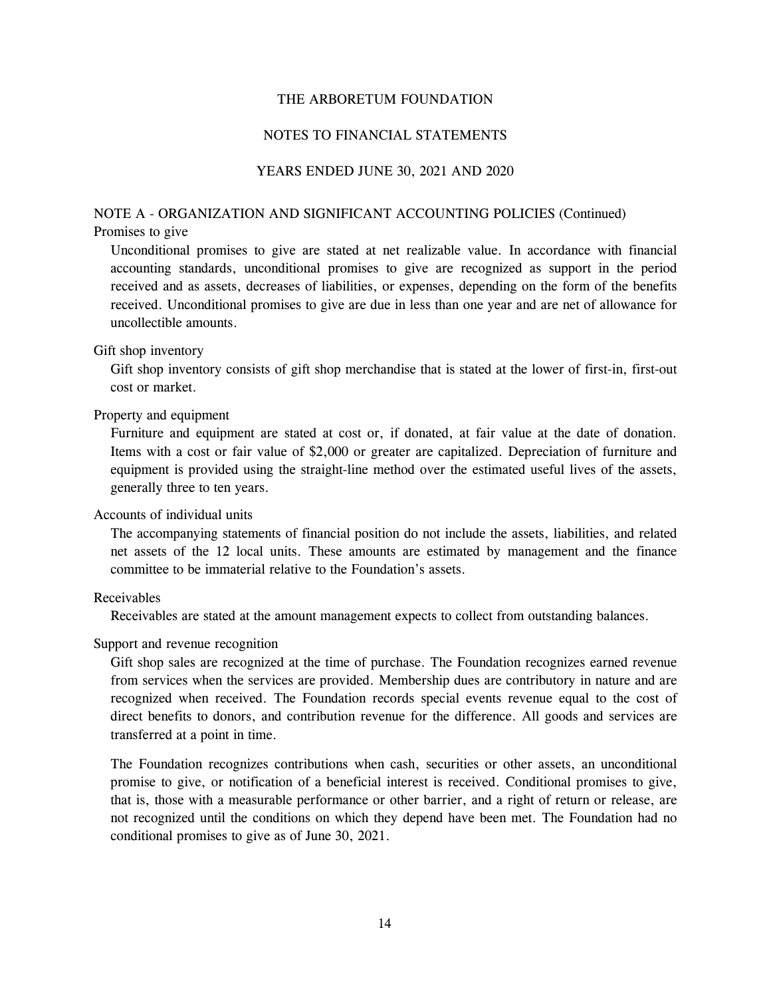# NOTES TO FINANCIAL STATEMENTS

#### YEARS ENDED JUNE 30, 2021 AND 2020

#### NOTE A - ORGANIZATION AND SIGNIFICANT ACCOUNTING POLICIES (Continued)

### Promises to give

Unconditional promises to give are stated at net realizable value. In accordance with financial accounting standards, unconditional promises to give are recognized as support in the period received and as assets, decreases of liabilities, or expenses, depending on the form of the benefits received. Unconditional promises to give are due in less than one year and are net of allowance for uncollectible amounts.

#### Gift shop inventory

Gift shop inventory consists of gift shop merchandise that is stated at the lower of first-in, first-out cost or market.

#### Property and equipment

Furniture and equipment are stated at cost or, if donated, at fair value at the date of donation. Items with a cost or fair value of \$2,000 or greater are capitalized. Depreciation of furniture and equipment is provided using the straight-line method over the estimated useful lives of the assets, generally three to ten years.

#### Accounts of individual units

The accompanying statements of financial position do not include the assets, liabilities, and related net assets of the 12 local units. These amounts are estimated by management and the finance committee to be immaterial relative to the Foundation's assets.

### Receivables

Receivables are stated at the amount management expects to collect from outstanding balances.

#### Support and revenue recognition

Gift shop sales are recognized at the time of purchase. The Foundation recognizes earned revenue from services when the services are provided. Membership dues are contributory in nature and are recognized when received. The Foundation records special events revenue equal to the cost of direct benefits to donors, and contribution revenue for the difference. All goods and services are transferred at a point in time.

The Foundation recognizes contributions when cash, securities or other assets, an unconditional promise to give, or notification of a beneficial interest is received. Conditional promises to give, that is, those with a measurable performance or other barrier, and a right of return or release, are not recognized until the conditions on which they depend have been met. The Foundation had no conditional promises to give as of June 30, 2021.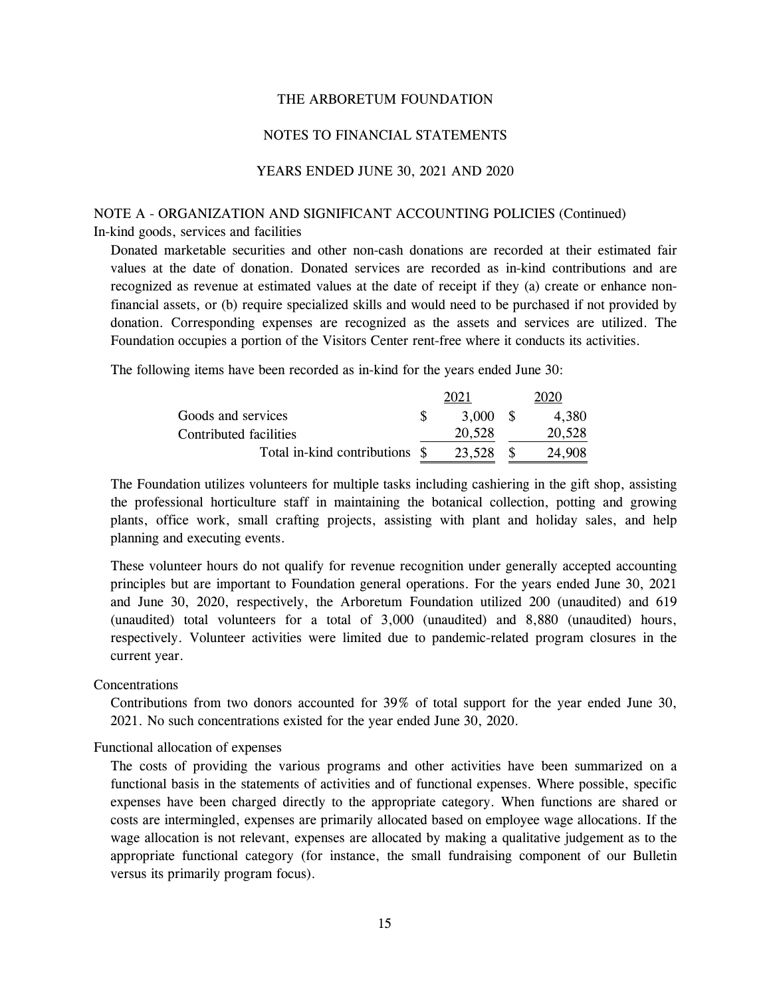### NOTES TO FINANCIAL STATEMENTS

#### YEARS ENDED JUNE 30, 2021 AND 2020

#### NOTE A - ORGANIZATION AND SIGNIFICANT ACCOUNTING POLICIES (Continued)

In-kind goods, services and facilities

Donated marketable securities and other non-cash donations are recorded at their estimated fair values at the date of donation. Donated services are recorded as in-kind contributions and are recognized as revenue at estimated values at the date of receipt if they (a) create or enhance nonfinancial assets, or (b) require specialized skills and would need to be purchased if not provided by donation. Corresponding expenses are recognized as the assets and services are utilized. The Foundation occupies a portion of the Visitors Center rent-free where it conducts its activities.

The following items have been recorded as in-kind for the years ended June 30:

|                                | 2021      |     | 2020   |
|--------------------------------|-----------|-----|--------|
| Goods and services             | 3.000     | - 8 | 4.380  |
| Contributed facilities         | 20,528    |     | 20,528 |
| Total in-kind contributions \$ | 23.528 \$ |     | 24,908 |

The Foundation utilizes volunteers for multiple tasks including cashiering in the gift shop, assisting the professional horticulture staff in maintaining the botanical collection, potting and growing plants, office work, small crafting projects, assisting with plant and holiday sales, and help planning and executing events.

These volunteer hours do not qualify for revenue recognition under generally accepted accounting principles but are important to Foundation general operations. For the years ended June 30, 2021 and June 30, 2020, respectively, the Arboretum Foundation utilized 200 (unaudited) and 619 (unaudited) total volunteers for a total of 3,000 (unaudited) and 8,880 (unaudited) hours, respectively. Volunteer activities were limited due to pandemic-related program closures in the current year.

#### **Concentrations**

Contributions from two donors accounted for 39% of total support for the year ended June 30, 2021. No such concentrations existed for the year ended June 30, 2020.

#### Functional allocation of expenses

The costs of providing the various programs and other activities have been summarized on a functional basis in the statements of activities and of functional expenses. Where possible, specific expenses have been charged directly to the appropriate category. When functions are shared or costs are intermingled, expenses are primarily allocated based on employee wage allocations. If the wage allocation is not relevant, expenses are allocated by making a qualitative judgement as to the appropriate functional category (for instance, the small fundraising component of our Bulletin versus its primarily program focus).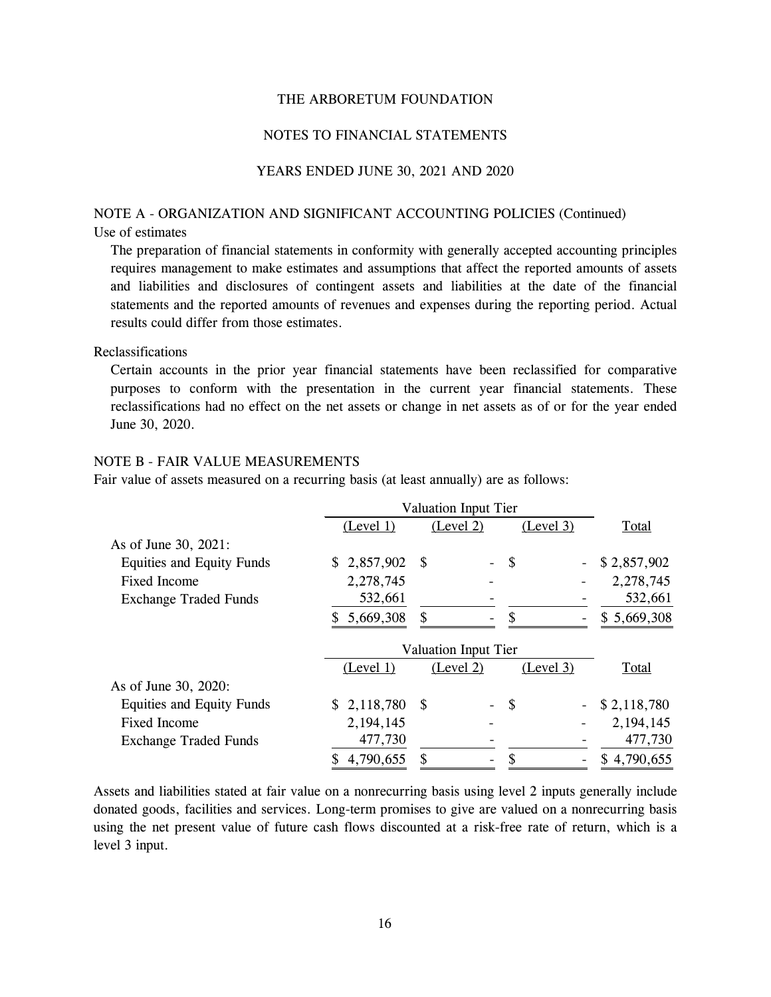# NOTES TO FINANCIAL STATEMENTS

#### YEARS ENDED JUNE 30, 2021 AND 2020

#### NOTE A - ORGANIZATION AND SIGNIFICANT ACCOUNTING POLICIES (Continued)

#### Use of estimates

The preparation of financial statements in conformity with generally accepted accounting principles requires management to make estimates and assumptions that affect the reported amounts of assets and liabilities and disclosures of contingent assets and liabilities at the date of the financial statements and the reported amounts of revenues and expenses during the reporting period. Actual results could differ from those estimates.

### Reclassifications

Certain accounts in the prior year financial statements have been reclassified for comparative purposes to conform with the presentation in the current year financial statements. These reclassifications had no effect on the net assets or change in net assets as of or for the year ended June 30, 2020.

#### NOTE B - FAIR VALUE MEASUREMENTS

Fair value of assets measured on a recurring basis (at least annually) are as follows:

|                                  |                  | <b>Valuation Input Tier</b> |           |              |
|----------------------------------|------------------|-----------------------------|-----------|--------------|
|                                  | <u>(Level 1)</u> | (Level 2)                   | (Level 3) | <b>Total</b> |
| As of June 30, 2021:             |                  |                             |           |              |
| <b>Equities and Equity Funds</b> | \$2,857,902      | -S                          | \$        | \$2,857,902  |
| <b>Fixed Income</b>              | 2,278,745        |                             |           | 2,278,745    |
| <b>Exchange Traded Funds</b>     | 532,661          |                             |           | 532,661      |
|                                  | 5,669,308        | \$                          |           | \$5,669,308  |
|                                  |                  | <b>Valuation Input Tier</b> |           |              |
|                                  | (Level 1)        | (Level 2)                   | (Level 3) | Total        |
| As of June 30, 2020:             |                  |                             |           |              |
| <b>Equities and Equity Funds</b> | \$2,118,780      | \$                          | \$        | \$2,118,780  |
| <b>Fixed Income</b>              | 2,194,145        |                             |           | 2, 194, 145  |
| <b>Exchange Traded Funds</b>     | 477,730          |                             |           | 477,730      |
|                                  | 4,790,655        | \$<br>-                     | S         | \$4,790,655  |

Assets and liabilities stated at fair value on a nonrecurring basis using level 2 inputs generally include donated goods, facilities and services. Long-term promises to give are valued on a nonrecurring basis using the net present value of future cash flows discounted at a risk-free rate of return, which is a level 3 input.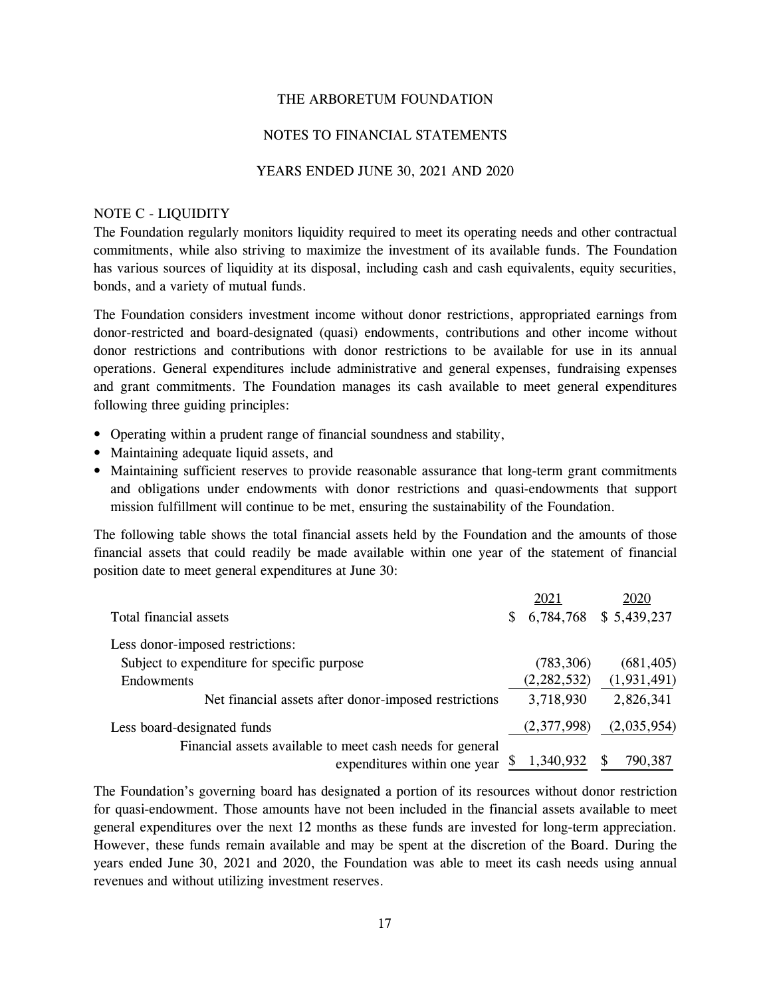# NOTES TO FINANCIAL STATEMENTS

#### YEARS ENDED JUNE 30, 2021 AND 2020

#### NOTE C - LIQUIDITY

The Foundation regularly monitors liquidity required to meet its operating needs and other contractual commitments, while also striving to maximize the investment of its available funds. The Foundation has various sources of liquidity at its disposal, including cash and cash equivalents, equity securities, bonds, and a variety of mutual funds.

The Foundation considers investment income without donor restrictions, appropriated earnings from donor-restricted and board-designated (quasi) endowments, contributions and other income without donor restrictions and contributions with donor restrictions to be available for use in its annual operations. General expenditures include administrative and general expenses, fundraising expenses and grant commitments. The Foundation manages its cash available to meet general expenditures following three guiding principles:

- Operating within a prudent range of financial soundness and stability,
- Maintaining adequate liquid assets, and
- Maintaining sufficient reserves to provide reasonable assurance that long-term grant commitments and obligations under endowments with donor restrictions and quasi-endowments that support mission fulfillment will continue to be met, ensuring the sustainability of the Foundation.

The following table shows the total financial assets held by the Foundation and the amounts of those financial assets that could readily be made available within one year of the statement of financial position date to meet general expenditures at June 30:

|                                                           |    | 2021          | 2020                  |
|-----------------------------------------------------------|----|---------------|-----------------------|
| Total financial assets                                    | S. |               | 6,784,768 \$5,439,237 |
| Less donor-imposed restrictions:                          |    |               |                       |
| Subject to expenditure for specific purpose               |    | (783, 306)    | (681, 405)            |
| Endowments                                                |    | (2, 282, 532) | (1, 931, 491)         |
| Net financial assets after donor-imposed restrictions     |    | 3,718,930     | 2,826,341             |
| Less board-designated funds                               |    | (2,377,998)   | (2,035,954)           |
| Financial assets available to meet cash needs for general |    |               |                       |
| expenditures within one year                              |    | 1,340,932     | 790,387               |

The Foundation's governing board has designated a portion of its resources without donor restriction for quasi-endowment. Those amounts have not been included in the financial assets available to meet general expenditures over the next 12 months as these funds are invested for long-term appreciation. However, these funds remain available and may be spent at the discretion of the Board. During the years ended June 30, 2021 and 2020, the Foundation was able to meet its cash needs using annual revenues and without utilizing investment reserves.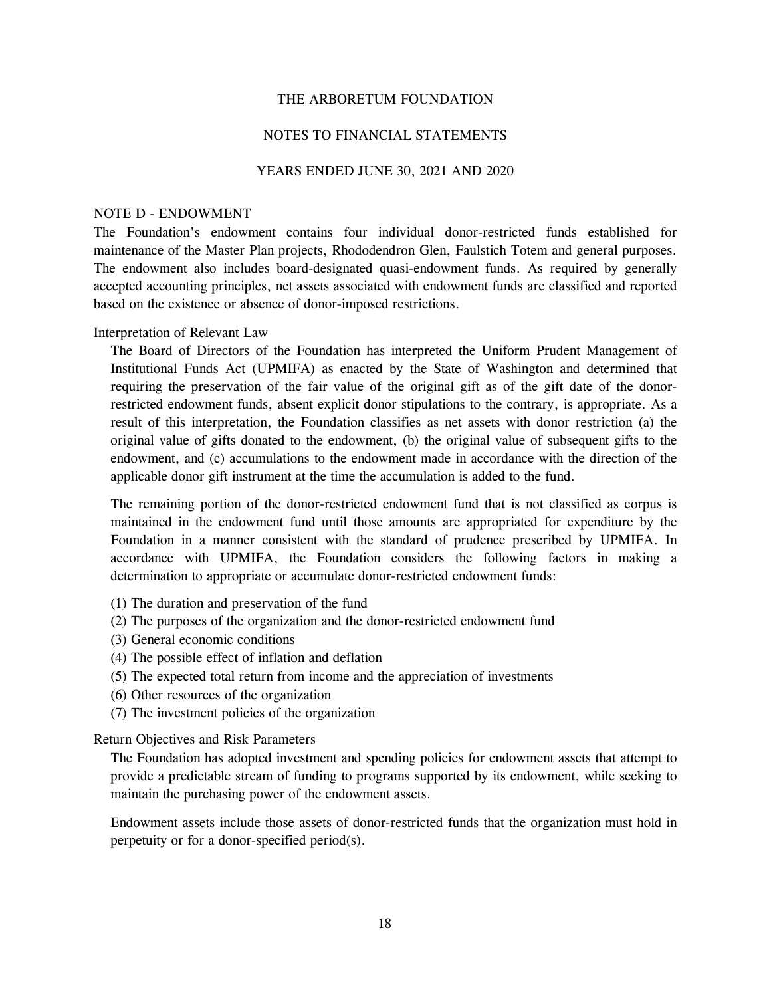### NOTES TO FINANCIAL STATEMENTS

#### YEARS ENDED JUNE 30, 2021 AND 2020

#### NOTE D - ENDOWMENT

The Foundation's endowment contains four individual donor-restricted funds established for maintenance of the Master Plan projects, Rhododendron Glen, Faulstich Totem and general purposes. The endowment also includes board-designated quasi-endowment funds. As required by generally accepted accounting principles, net assets associated with endowment funds are classified and reported based on the existence or absence of donor-imposed restrictions.

Interpretation of Relevant Law

The Board of Directors of the Foundation has interpreted the Uniform Prudent Management of Institutional Funds Act (UPMIFA) as enacted by the State of Washington and determined that requiring the preservation of the fair value of the original gift as of the gift date of the donorrestricted endowment funds, absent explicit donor stipulations to the contrary, is appropriate. As a result of this interpretation, the Foundation classifies as net assets with donor restriction (a) the original value of gifts donated to the endowment, (b) the original value of subsequent gifts to the endowment, and (c) accumulations to the endowment made in accordance with the direction of the applicable donor gift instrument at the time the accumulation is added to the fund.

The remaining portion of the donor-restricted endowment fund that is not classified as corpus is maintained in the endowment fund until those amounts are appropriated for expenditure by the Foundation in a manner consistent with the standard of prudence prescribed by UPMIFA. In accordance with UPMIFA, the Foundation considers the following factors in making a determination to appropriate or accumulate donor-restricted endowment funds:

- (1) The duration and preservation of the fund
- (2) The purposes of the organization and the donor-restricted endowment fund
- (3) General economic conditions
- (4) The possible effect of inflation and deflation
- (5) The expected total return from income and the appreciation of investments
- (6) Other resources of the organization
- (7) The investment policies of the organization

### Return Objectives and Risk Parameters

The Foundation has adopted investment and spending policies for endowment assets that attempt to provide a predictable stream of funding to programs supported by its endowment, while seeking to maintain the purchasing power of the endowment assets.

Endowment assets include those assets of donor-restricted funds that the organization must hold in perpetuity or for a donor-specified period(s).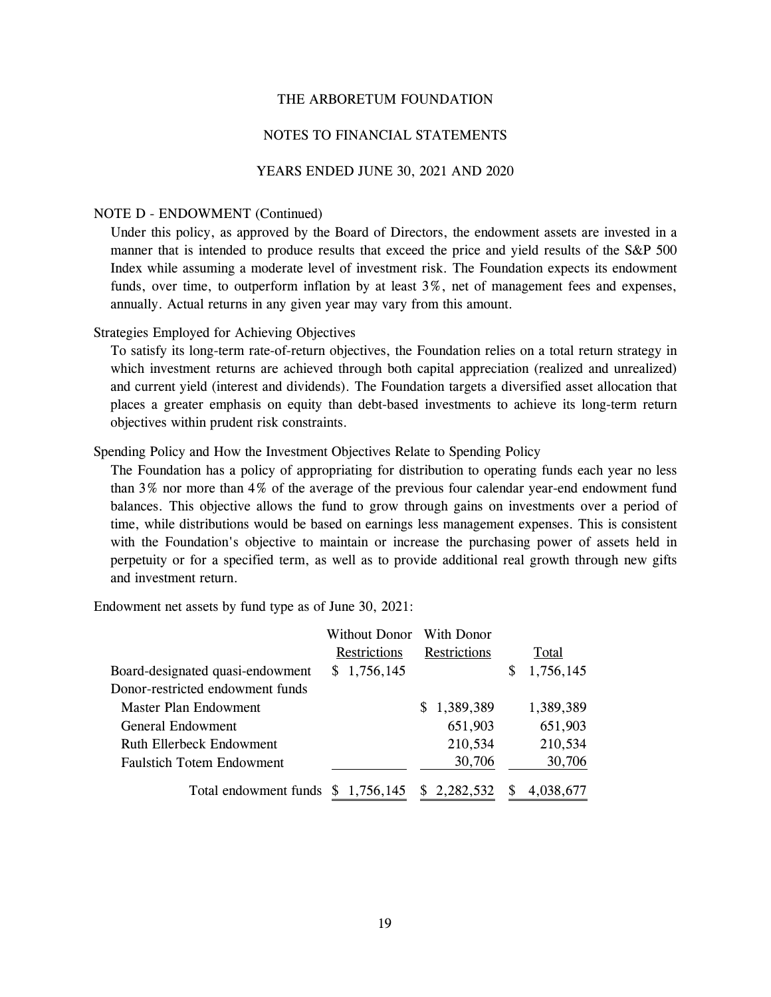### NOTES TO FINANCIAL STATEMENTS

#### YEARS ENDED JUNE 30, 2021 AND 2020

# NOTE D - ENDOWMENT (Continued)

Under this policy, as approved by the Board of Directors, the endowment assets are invested in a manner that is intended to produce results that exceed the price and yield results of the S&P 500 Index while assuming a moderate level of investment risk. The Foundation expects its endowment funds, over time, to outperform inflation by at least 3%, net of management fees and expenses, annually. Actual returns in any given year may vary from this amount.

Strategies Employed for Achieving Objectives

To satisfy its long-term rate-of-return objectives, the Foundation relies on a total return strategy in which investment returns are achieved through both capital appreciation (realized and unrealized) and current yield (interest and dividends). The Foundation targets a diversified asset allocation that places a greater emphasis on equity than debt-based investments to achieve its long-term return objectives within prudent risk constraints.

#### Spending Policy and How the Investment Objectives Relate to Spending Policy

The Foundation has a policy of appropriating for distribution to operating funds each year no less than 3% nor more than 4% of the average of the previous four calendar year-end endowment fund balances. This objective allows the fund to grow through gains on investments over a period of time, while distributions would be based on earnings less management expenses. This is consistent with the Foundation's objective to maintain or increase the purchasing power of assets held in perpetuity or for a specified term, as well as to provide additional real growth through new gifts and investment return.

Endowment net assets by fund type as of June 30, 2021:

|                                   | <b>Without Donor</b> | With Donor   |          |              |
|-----------------------------------|----------------------|--------------|----------|--------------|
|                                   | Restrictions         | Restrictions |          | <b>Total</b> |
| Board-designated quasi-endowment  | \$1,756,145          |              |          | 1,756,145    |
| Donor-restricted endowment funds  |                      |              |          |              |
| Master Plan Endowment             |                      | \$1,389,389  |          | 1,389,389    |
| General Endowment                 |                      | 651,903      |          | 651,903      |
| <b>Ruth Ellerbeck Endowment</b>   |                      | 210,534      |          | 210,534      |
| <b>Faulstich Totem Endowment</b>  |                      | 30,706       |          | 30,706       |
| Total endowment funds \$1,756,145 |                      | \$2,282,532  | <b>S</b> | 4,038,677    |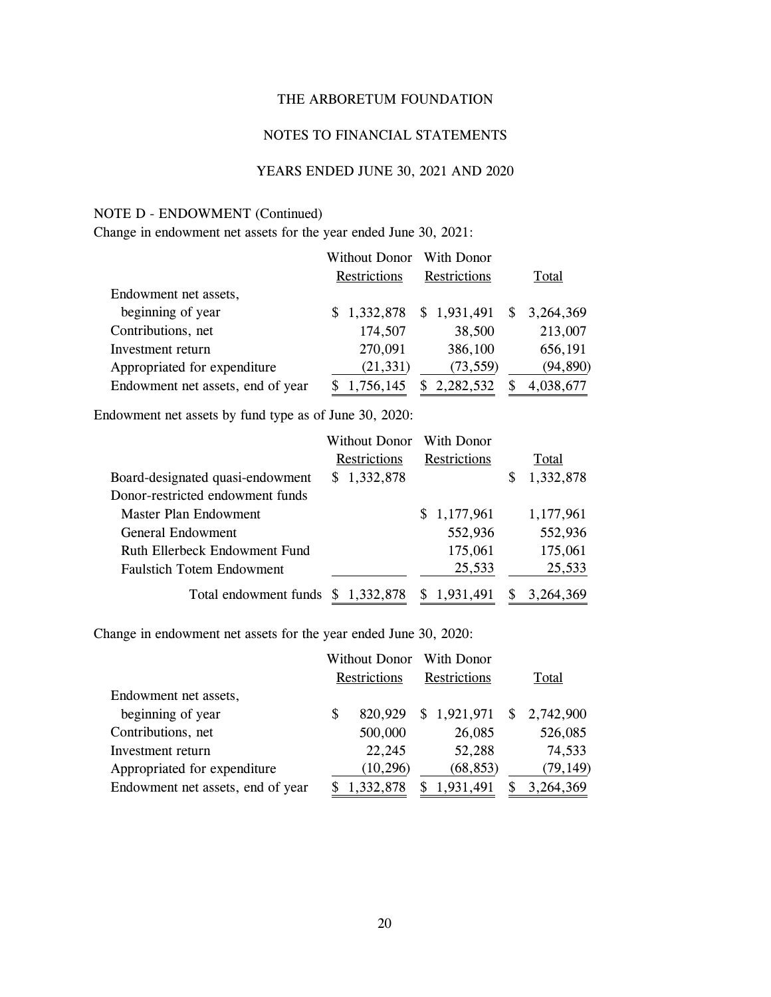# NOTES TO FINANCIAL STATEMENTS

# YEARS ENDED JUNE 30, 2021 AND 2020

# NOTE D - ENDOWMENT (Continued)

Change in endowment net assets for the year ended June 30, 2021:

|                                   | Without Donor With Donor |    |              |    |              |
|-----------------------------------|--------------------------|----|--------------|----|--------------|
|                                   | Restrictions             |    | Restrictions |    | <b>Total</b> |
| Endowment net assets,             |                          |    |              |    |              |
| beginning of year                 | \$1,332,878              |    | \$1,931,491  | -S | 3,264,369    |
| Contributions, net                | 174,507                  |    | 38,500       |    | 213,007      |
| Investment return                 | 270,091                  |    | 386,100      |    | 656,191      |
| Appropriated for expenditure      | (21, 331)                |    | (73, 559)    |    | (94, 890)    |
| Endowment net assets, end of year | 1,756,145                | S. | 2,282,532    |    | 4,038,677    |

Endowment net assets by fund type as of June 30, 2020:

|                                   | Without Donor | With Donor   |     |              |
|-----------------------------------|---------------|--------------|-----|--------------|
|                                   | Restrictions  | Restrictions |     | <b>Total</b> |
| Board-designated quasi-endowment  | \$1,332,878   |              |     | 1,332,878    |
| Donor-restricted endowment funds  |               |              |     |              |
| Master Plan Endowment             |               | \$1,177,961  |     | 1,177,961    |
| General Endowment                 |               | 552,936      |     | 552,936      |
| Ruth Ellerbeck Endowment Fund     |               | 175,061      |     | 175,061      |
| <b>Faulstich Totem Endowment</b>  |               | 25,533       |     | 25,533       |
| Total endowment funds \$1,332,878 |               | \$ 1.931.491 | \$. | 3,264,369    |

Change in endowment net assets for the year ended June 30, 2020:

|                                   | Without Donor With Donor |              |               |           |
|-----------------------------------|--------------------------|--------------|---------------|-----------|
|                                   | Restrictions             | Restrictions |               | Total     |
| Endowment net assets,             |                          |              |               |           |
| beginning of year                 | \$<br>820,929            | \$1,921,971  | $\mathcal{S}$ | 2,742,900 |
| Contributions, net                | 500,000                  | 26,085       |               | 526,085   |
| Investment return                 | 22,245                   | 52,288       |               | 74,533    |
| Appropriated for expenditure      | (10, 296)                | (68, 853)    |               | (79, 149) |
| Endowment net assets, end of year | 1,332,878                | \$1,931,491  |               | 3,264,369 |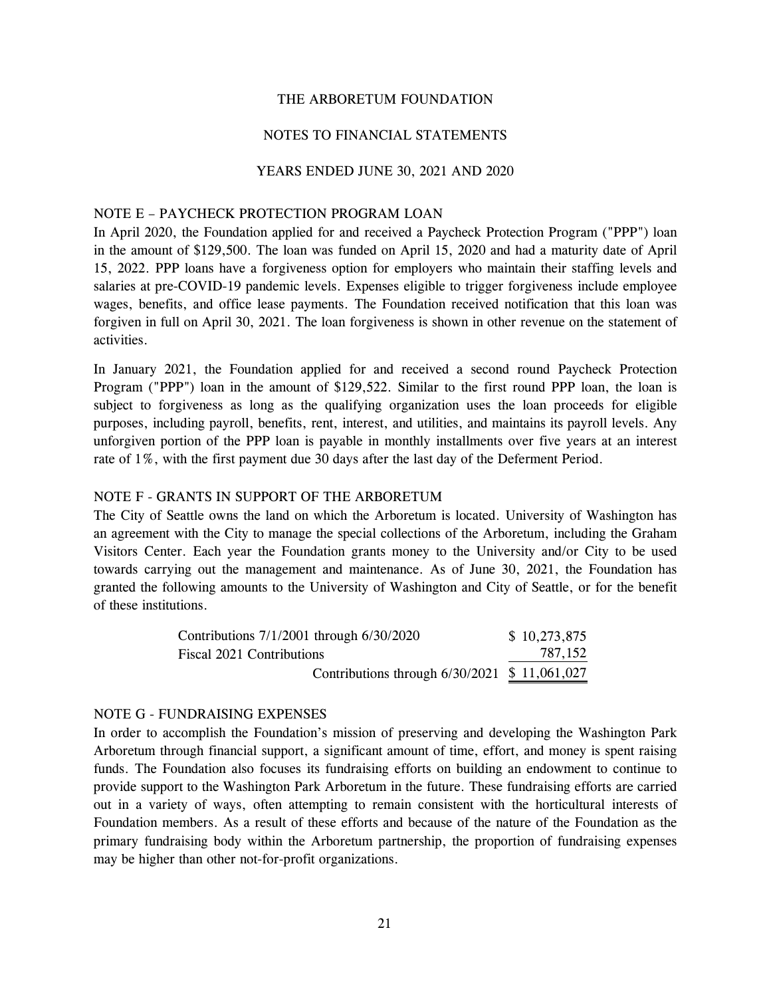# NOTES TO FINANCIAL STATEMENTS

#### YEARS ENDED JUNE 30, 2021 AND 2020

#### NOTE E – PAYCHECK PROTECTION PROGRAM LOAN

In April 2020, the Foundation applied for and received a Paycheck Protection Program ("PPP") loan in the amount of \$129,500. The loan was funded on April 15, 2020 and had a maturity date of April 15, 2022. PPP loans have a forgiveness option for employers who maintain their staffing levels and salaries at pre-COVID-19 pandemic levels. Expenses eligible to trigger forgiveness include employee wages, benefits, and office lease payments. The Foundation received notification that this loan was forgiven in full on April 30, 2021. The loan forgiveness is shown in other revenue on the statement of activities.

In January 2021, the Foundation applied for and received a second round Paycheck Protection Program ("PPP") loan in the amount of \$129,522. Similar to the first round PPP loan, the loan is subject to forgiveness as long as the qualifying organization uses the loan proceeds for eligible purposes, including payroll, benefits, rent, interest, and utilities, and maintains its payroll levels. Any unforgiven portion of the PPP loan is payable in monthly installments over five years at an interest rate of 1%, with the first payment due 30 days after the last day of the Deferment Period.

#### NOTE F - GRANTS IN SUPPORT OF THE ARBORETUM

The City of Seattle owns the land on which the Arboretum is located. University of Washington has an agreement with the City to manage the special collections of the Arboretum, including the Graham Visitors Center. Each year the Foundation grants money to the University and/or City to be used towards carrying out the management and maintenance. As of June 30, 2021, the Foundation has granted the following amounts to the University of Washington and City of Seattle, or for the benefit of these institutions.

| Contributions 7/1/2001 through 6/30/2020        | \$10,273,875 |
|-------------------------------------------------|--------------|
| <b>Fiscal 2021 Contributions</b>                | 787.152      |
| Contributions through $6/30/2021$ \$ 11,061,027 |              |

#### NOTE G - FUNDRAISING EXPENSES

In order to accomplish the Foundation's mission of preserving and developing the Washington Park Arboretum through financial support, a significant amount of time, effort, and money is spent raising funds. The Foundation also focuses its fundraising efforts on building an endowment to continue to provide support to the Washington Park Arboretum in the future. These fundraising efforts are carried out in a variety of ways, often attempting to remain consistent with the horticultural interests of Foundation members. As a result of these efforts and because of the nature of the Foundation as the primary fundraising body within the Arboretum partnership, the proportion of fundraising expenses may be higher than other not-for-profit organizations.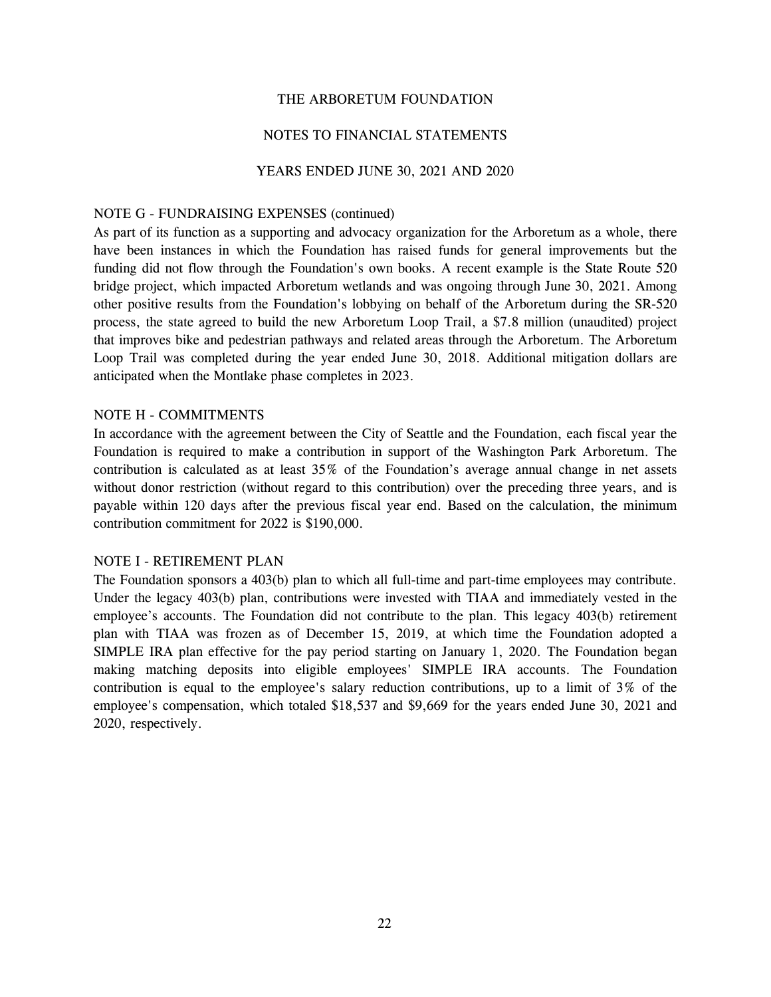# NOTES TO FINANCIAL STATEMENTS

#### YEARS ENDED JUNE 30, 2021 AND 2020

#### NOTE G - FUNDRAISING EXPENSES (continued)

As part of its function as a supporting and advocacy organization for the Arboretum as a whole, there have been instances in which the Foundation has raised funds for general improvements but the funding did not flow through the Foundation's own books. A recent example is the State Route 520 bridge project, which impacted Arboretum wetlands and was ongoing through June 30, 2021. Among other positive results from the Foundation's lobbying on behalf of the Arboretum during the SR-520 process, the state agreed to build the new Arboretum Loop Trail, a \$7.8 million (unaudited) project that improves bike and pedestrian pathways and related areas through the Arboretum. The Arboretum Loop Trail was completed during the year ended June 30, 2018. Additional mitigation dollars are anticipated when the Montlake phase completes in 2023.

#### NOTE H - COMMITMENTS

In accordance with the agreement between the City of Seattle and the Foundation, each fiscal year the Foundation is required to make a contribution in support of the Washington Park Arboretum. The contribution is calculated as at least 35% of the Foundation's average annual change in net assets without donor restriction (without regard to this contribution) over the preceding three years, and is payable within 120 days after the previous fiscal year end. Based on the calculation, the minimum contribution commitment for 2022 is \$190,000.

## NOTE I - RETIREMENT PLAN

The Foundation sponsors a 403(b) plan to which all full-time and part-time employees may contribute. Under the legacy 403(b) plan, contributions were invested with TIAA and immediately vested in the employee's accounts. The Foundation did not contribute to the plan. This legacy 403(b) retirement plan with TIAA was frozen as of December 15, 2019, at which time the Foundation adopted a SIMPLE IRA plan effective for the pay period starting on January 1, 2020. The Foundation began making matching deposits into eligible employees' SIMPLE IRA accounts. The Foundation contribution is equal to the employee's salary reduction contributions, up to a limit of 3% of the employee's compensation, which totaled \$18,537 and \$9,669 for the years ended June 30, 2021 and 2020, respectively.